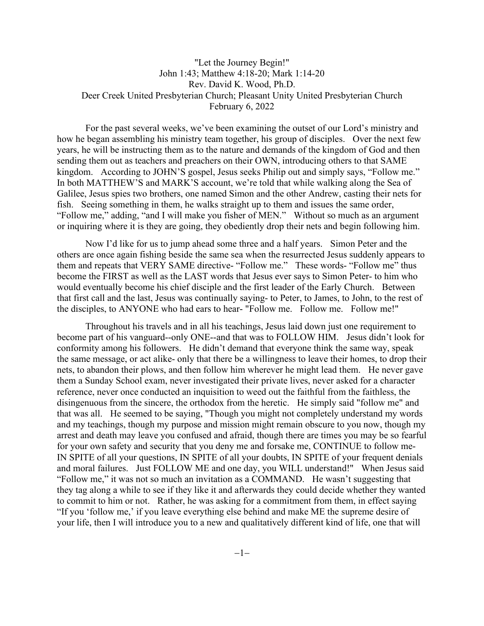## "Let the Journey Begin!" John 1:43; Matthew 4:18-20; Mark 1:14-20 Rev. David K. Wood, Ph.D. Deer Creek United Presbyterian Church; Pleasant Unity United Presbyterian Church February 6, 2022

For the past several weeks, we've been examining the outset of our Lord's ministry and how he began assembling his ministry team together, his group of disciples. Over the next few years, he will be instructing them as to the nature and demands of the kingdom of God and then sending them out as teachers and preachers on their OWN, introducing others to that SAME kingdom. According to JOHN'S gospel, Jesus seeks Philip out and simply says, "Follow me." In both MATTHEW'S and MARK'S account, we're told that while walking along the Sea of Galilee, Jesus spies two brothers, one named Simon and the other Andrew, casting their nets for fish. Seeing something in them, he walks straight up to them and issues the same order, "Follow me," adding, "and I will make you fisher of MEN." Without so much as an argument or inquiring where it is they are going, they obediently drop their nets and begin following him.

Now I'd like for us to jump ahead some three and a half years. Simon Peter and the others are once again fishing beside the same sea when the resurrected Jesus suddenly appears to them and repeats that VERY SAME directive- "Follow me." These words- "Follow me" thus become the FIRST as well as the LAST words that Jesus ever says to Simon Peter- to him who would eventually become his chief disciple and the first leader of the Early Church. Between that first call and the last, Jesus was continually saying- to Peter, to James, to John, to the rest of the disciples, to ANYONE who had ears to hear- "Follow me. Follow me. Follow me!"

Throughout his travels and in all his teachings, Jesus laid down just one requirement to become part of his vanguard--only ONE--and that was to FOLLOW HIM. Jesus didn't look for conformity among his followers. He didn't demand that everyone think the same way, speak the same message, or act alike- only that there be a willingness to leave their homes, to drop their nets, to abandon their plows, and then follow him wherever he might lead them. He never gave them a Sunday School exam, never investigated their private lives, never asked for a character reference, never once conducted an inquisition to weed out the faithful from the faithless, the disingenuous from the sincere, the orthodox from the heretic. He simply said "follow me" and that was all. He seemed to be saying, "Though you might not completely understand my words and my teachings, though my purpose and mission might remain obscure to you now, though my arrest and death may leave you confused and afraid, though there are times you may be so fearful for your own safety and security that you deny me and forsake me, CONTINUE to follow me-IN SPITE of all your questions, IN SPITE of all your doubts, IN SPITE of your frequent denials and moral failures. Just FOLLOW ME and one day, you WILL understand!" When Jesus said "Follow me," it was not so much an invitation as a COMMAND. He wasn't suggesting that they tag along a while to see if they like it and afterwards they could decide whether they wanted to commit to him or not. Rather, he was asking for a commitment from them, in effect saying "If you 'follow me,' if you leave everything else behind and make ME the supreme desire of your life, then I will introduce you to a new and qualitatively different kind of life, one that will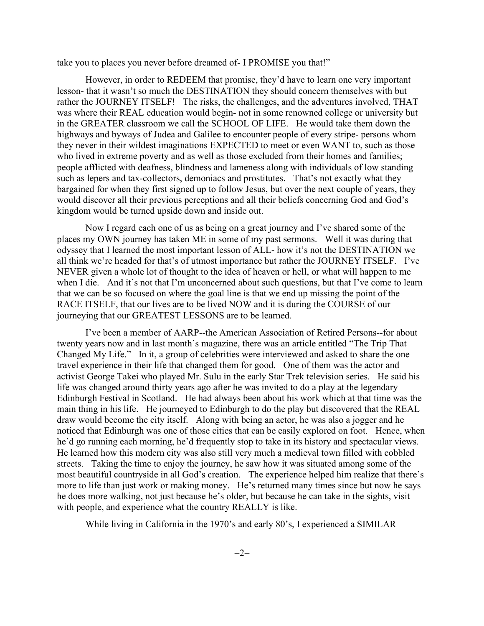take you to places you never before dreamed of- I PROMISE you that!"

However, in order to REDEEM that promise, they'd have to learn one very important lesson- that it wasn't so much the DESTINATION they should concern themselves with but rather the JOURNEY ITSELF! The risks, the challenges, and the adventures involved, THAT was where their REAL education would begin- not in some renowned college or university but in the GREATER classroom we call the SCHOOL OF LIFE. He would take them down the highways and byways of Judea and Galilee to encounter people of every stripe- persons whom they never in their wildest imaginations EXPECTED to meet or even WANT to, such as those who lived in extreme poverty and as well as those excluded from their homes and families; people afflicted with deafness, blindness and lameness along with individuals of low standing such as lepers and tax-collectors, demoniacs and prostitutes. That's not exactly what they bargained for when they first signed up to follow Jesus, but over the next couple of years, they would discover all their previous perceptions and all their beliefs concerning God and God's kingdom would be turned upside down and inside out.

Now I regard each one of us as being on a great journey and I've shared some of the places my OWN journey has taken ME in some of my past sermons. Well it was during that odyssey that I learned the most important lesson of ALL- how it's not the DESTINATION we all think we're headed for that's of utmost importance but rather the JOURNEY ITSELF. I've NEVER given a whole lot of thought to the idea of heaven or hell, or what will happen to me when I die. And it's not that I'm unconcerned about such questions, but that I've come to learn that we can be so focused on where the goal line is that we end up missing the point of the RACE ITSELF, that our lives are to be lived NOW and it is during the COURSE of our journeying that our GREATEST LESSONS are to be learned.

I've been a member of AARP--the American Association of Retired Persons--for about twenty years now and in last month's magazine, there was an article entitled "The Trip That Changed My Life." In it, a group of celebrities were interviewed and asked to share the one travel experience in their life that changed them for good. One of them was the actor and activist George Takei who played Mr. Sulu in the early Star Trek television series. He said his life was changed around thirty years ago after he was invited to do a play at the legendary Edinburgh Festival in Scotland. He had always been about his work which at that time was the main thing in his life. He journeyed to Edinburgh to do the play but discovered that the REAL draw would become the city itself. Along with being an actor, he was also a jogger and he noticed that Edinburgh was one of those cities that can be easily explored on foot. Hence, when he'd go running each morning, he'd frequently stop to take in its history and spectacular views. He learned how this modern city was also still very much a medieval town filled with cobbled streets. Taking the time to enjoy the journey, he saw how it was situated among some of the most beautiful countryside in all God's creation. The experience helped him realize that there's more to life than just work or making money. He's returned many times since but now he says he does more walking, not just because he's older, but because he can take in the sights, visit with people, and experience what the country REALLY is like.

While living in California in the 1970's and early 80's, I experienced a SIMILAR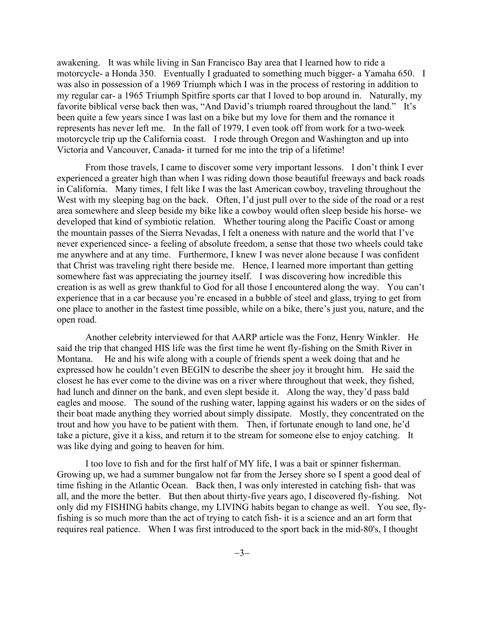awakening. It was while living in San Francisco Bay area that I learned how to ride a motorcycle- a Honda 350. Eventually I graduated to something much bigger- a Yamaha 650. I was also in possession of a 1969 Triumph which I was in the process of restoring in addition to my regular car- a 1965 Triumph Spitfire sports car that I loved to bop around in. Naturally, my favorite biblical verse back then was, "And David's triumph roared throughout the land." It's been quite a few years since I was last on a bike but my love for them and the romance it represents has never left me. In the fall of 1979, I even took off from work for a two-week motorcycle trip up the California coast. I rode through Oregon and Washington and up into Victoria and Vancouver, Canada- it turned for me into the trip of a lifetime!

From those travels, I came to discover some very important lessons. I don't think I ever experienced a greater high than when I was riding down those beautiful freeways and back roads in California. Many times, I felt like I was the last American cowboy, traveling throughout the West with my sleeping bag on the back. Often, I'd just pull over to the side of the road or a rest area somewhere and sleep beside my bike like a cowboy would often sleep beside his horse- we developed that kind of symbiotic relation. Whether touring along the Pacific Coast or among the mountain passes of the Sierra Nevadas, I felt a oneness with nature and the world that I've never experienced since- a feeling of absolute freedom, a sense that those two wheels could take me anywhere and at any time. Furthermore, I knew I was never alone because I was confident that Christ was traveling right there beside me. Hence, I learned more important than getting somewhere fast was appreciating the journey itself. I was discovering how incredible this creation is as well as grew thankful to God for all those I encountered along the way. You can't experience that in a car because you're encased in a bubble of steel and glass, trying to get from one place to another in the fastest time possible, while on a bike, there's just you, nature, and the open road.

Another celebrity interviewed for that AARP article was the Fonz, Henry Winkler. He said the trip that changed HIS life was the first time he went fly-fishing on the Smith River in Montana. He and his wife along with a couple of friends spent a week doing that and he expressed how he couldn't even BEGIN to describe the sheer joy it brought him. He said the closest he has ever come to the divine was on a river where throughout that week, they fished, had lunch and dinner on the bank, and even slept beside it. Along the way, they'd pass bald eagles and moose. The sound of the rushing water, lapping against his waders or on the sides of their boat made anything they worried about simply dissipate. Mostly, they concentrated on the trout and how you have to be patient with them. Then, if fortunate enough to land one, he'd take a picture, give it a kiss, and return it to the stream for someone else to enjoy catching. It was like dying and going to heaven for him.

I too love to fish and for the first half of MY life, I was a bait or spinner fisherman. Growing up, we had a summer bungalow not far from the Jersey shore so I spent a good deal of time fishing in the Atlantic Ocean. Back then, I was only interested in catching fish- that was all, and the more the better. But then about thirty-five years ago, I discovered fly-fishing. Not only did my FISHING habits change, my LIVING habits began to change as well. You see, flyfishing is so much more than the act of trying to catch fish- it is a science and an art form that requires real patience. When I was first introduced to the sport back in the mid-80's, I thought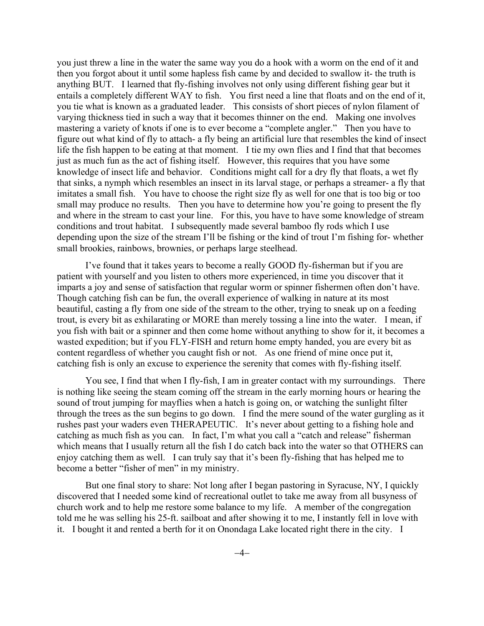you just threw a line in the water the same way you do a hook with a worm on the end of it and then you forgot about it until some hapless fish came by and decided to swallow it- the truth is anything BUT. I learned that fly-fishing involves not only using different fishing gear but it entails a completely different WAY to fish. You first need a line that floats and on the end of it, you tie what is known as a graduated leader. This consists of short pieces of nylon filament of varying thickness tied in such a way that it becomes thinner on the end. Making one involves mastering a variety of knots if one is to ever become a "complete angler." Then you have to figure out what kind of fly to attach- a fly being an artificial lure that resembles the kind of insect life the fish happen to be eating at that moment. I tie my own flies and I find that that becomes just as much fun as the act of fishing itself. However, this requires that you have some knowledge of insect life and behavior. Conditions might call for a dry fly that floats, a wet fly that sinks, a nymph which resembles an insect in its larval stage, or perhaps a streamer- a fly that imitates a small fish. You have to choose the right size fly as well for one that is too big or too small may produce no results. Then you have to determine how you're going to present the fly and where in the stream to cast your line. For this, you have to have some knowledge of stream conditions and trout habitat. I subsequently made several bamboo fly rods which I use depending upon the size of the stream I'll be fishing or the kind of trout I'm fishing for- whether small brookies, rainbows, brownies, or perhaps large steelhead.

I've found that it takes years to become a really GOOD fly-fisherman but if you are patient with yourself and you listen to others more experienced, in time you discover that it imparts a joy and sense of satisfaction that regular worm or spinner fishermen often don't have. Though catching fish can be fun, the overall experience of walking in nature at its most beautiful, casting a fly from one side of the stream to the other, trying to sneak up on a feeding trout, is every bit as exhilarating or MORE than merely tossing a line into the water. I mean, if you fish with bait or a spinner and then come home without anything to show for it, it becomes a wasted expedition; but if you FLY-FISH and return home empty handed, you are every bit as content regardless of whether you caught fish or not. As one friend of mine once put it, catching fish is only an excuse to experience the serenity that comes with fly-fishing itself.

You see, I find that when I fly-fish, I am in greater contact with my surroundings. There is nothing like seeing the steam coming off the stream in the early morning hours or hearing the sound of trout jumping for mayflies when a hatch is going on, or watching the sunlight filter through the trees as the sun begins to go down. I find the mere sound of the water gurgling as it rushes past your waders even THERAPEUTIC. It's never about getting to a fishing hole and catching as much fish as you can. In fact, I'm what you call a "catch and release" fisherman which means that I usually return all the fish I do catch back into the water so that OTHERS can enjoy catching them as well. I can truly say that it's been fly-fishing that has helped me to become a better "fisher of men" in my ministry.

But one final story to share: Not long after I began pastoring in Syracuse, NY, I quickly discovered that I needed some kind of recreational outlet to take me away from all busyness of church work and to help me restore some balance to my life. A member of the congregation told me he was selling his 25-ft. sailboat and after showing it to me, I instantly fell in love with it. I bought it and rented a berth for it on Onondaga Lake located right there in the city. I